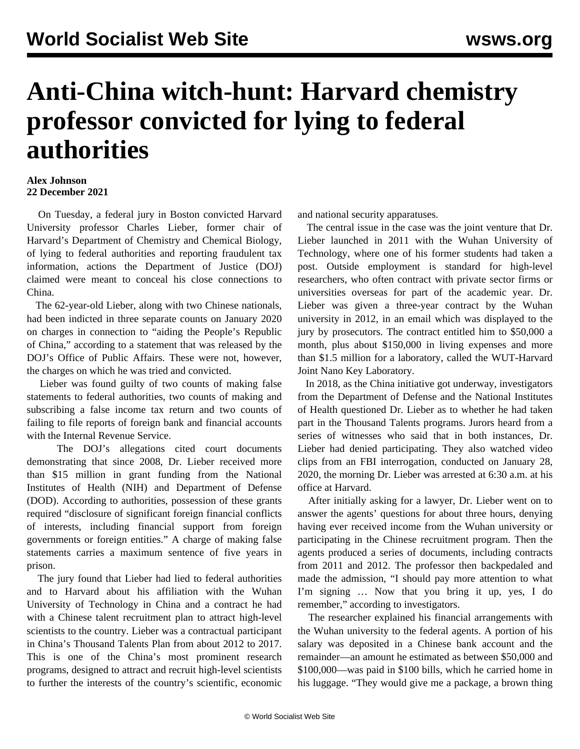## **Anti-China witch-hunt: Harvard chemistry professor convicted for lying to federal authorities**

## **Alex Johnson 22 December 2021**

 On Tuesday, a federal jury in Boston convicted Harvard University professor Charles Lieber, former chair of Harvard's Department of Chemistry and Chemical Biology, of lying to federal authorities and reporting fraudulent tax information, actions the Department of Justice (DOJ) claimed were meant to conceal his close connections to China.

 The 62-year-old Lieber, along with two Chinese nationals, had been indicted in three separate counts on January 2020 on charges in connection to "aiding the People's Republic of China," according to a statement that was released by the DOJ's Office of Public Affairs. These were not, however, the charges on which he was tried and convicted.

 Lieber was found guilty of two counts of making false statements to federal authorities, two counts of making and subscribing a false income tax return and two counts of failing to file reports of foreign bank and financial accounts with the Internal Revenue Service.

 The DOJ's allegations cited court documents demonstrating that since 2008, Dr. Lieber received more than \$15 million in grant funding from the National Institutes of Health (NIH) and Department of Defense (DOD). According to authorities, possession of these grants required "disclosure of significant foreign financial conflicts of interests, including financial support from foreign governments or foreign entities." A charge of making false statements carries a maximum sentence of five years in prison.

 The jury found that Lieber had lied to federal authorities and to Harvard about his affiliation with the Wuhan University of Technology in China and a contract he had with a Chinese talent recruitment plan to attract high-level scientists to the country. Lieber was a contractual participant in China's Thousand Talents Plan from about 2012 to 2017. This is one of the China's most prominent research programs, designed to attract and recruit high-level scientists to further the interests of the country's scientific, economic and national security apparatuses.

 The central issue in the case was the joint venture that Dr. Lieber launched in 2011 with the Wuhan University of Technology, where one of his former students had taken a post. Outside employment is standard for high-level researchers, who often contract with private sector firms or universities overseas for part of the academic year. Dr. Lieber was given a three-year contract by the Wuhan university in 2012, in an email which was displayed to the jury by prosecutors. The contract entitled him to \$50,000 a month, plus about \$150,000 in living expenses and more than \$1.5 million for a laboratory, called the WUT-Harvard Joint Nano Key Laboratory.

 In 2018, as the China initiative got underway, investigators from the Department of Defense and the National Institutes of Health questioned Dr. Lieber as to whether he had taken part in the Thousand Talents programs. Jurors heard from a series of witnesses who said that in both instances, Dr. Lieber had denied participating. They also watched video clips from an FBI interrogation, conducted on January 28, 2020, the morning Dr. Lieber was arrested at 6:30 a.m. at his office at Harvard.

 After initially asking for a lawyer, Dr. Lieber went on to answer the agents' questions for about three hours, denying having ever received income from the Wuhan university or participating in the Chinese recruitment program. Then the agents produced a series of documents, including contracts from 2011 and 2012. The professor then backpedaled and made the admission, "I should pay more attention to what I'm signing … Now that you bring it up, yes, I do remember," according to investigators.

 The researcher explained his financial arrangements with the Wuhan university to the federal agents. A portion of his salary was deposited in a Chinese bank account and the remainder—an amount he estimated as between \$50,000 and \$100,000—was paid in \$100 bills, which he carried home in his luggage. "They would give me a package, a brown thing